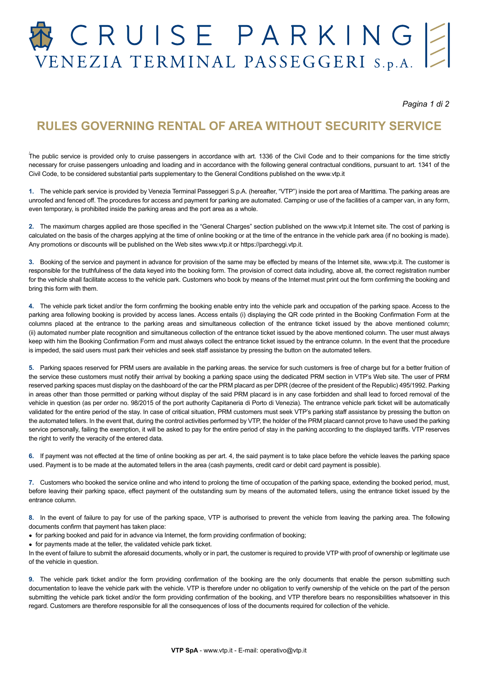# CRUISE PARKING ENEZIA TERMINAL PASSEGGERI S.p.A.

*Pagina 1 di 2*

### **RULES GOVERNING RENTAL OF AREA WITHOUT SECURITY SERVICE**

.<br>The public service is provided only to cruise passengers in accordance with art. 1336 of the Civil Code and to their companions for the time strictly necessary for cruise passengers unloading and loading and in accordance with the following general contractual conditions, pursuant to art. 1341 of the Civil Code, to be considered substantial parts supplementary to the General Conditions published on the www.vtp.it

**1.** The vehicle park service is provided by Venezia Terminal Passeggeri S.p.A. (hereafter, "VTP") inside the port area of Marittima. The parking areas are unroofed and fenced off. The procedures for access and payment for parking are automated. Camping or use of the facilities of a camper van, in any form, even temporary, is prohibited inside the parking areas and the port area as a whole.

**2.** The maximum charges applied are those specified in the "General Charges" section published on the www.vtp.it Internet site. The cost of parking is calculated on the basis of the charges applying at the time of online booking or at the time of the entrance in the vehicle park area (if no booking is made). Any promotions or discounts will be published on the Web sites www.vtp.it or https://parcheggi.vtp.it.

**3.** Booking of the service and payment in advance for provision of the same may be effected by means of the Internet site, www.vtp.it. The customer is responsible for the truthfulness of the data keyed into the booking form. The provision of correct data including, above all, the correct registration number for the vehicle shall facilitate access to the vehicle park. Customers who book by means of the Internet must print out the form confirming the booking and bring this form with them.

**4.** The vehicle park ticket and/or the form confirming the booking enable entry into the vehicle park and occupation of the parking space. Access to the parking area following booking is provided by access lanes. Access entails (i) displaying the QR code printed in the Booking Confirmation Form at the columns placed at the entrance to the parking areas and simultaneous collection of the entrance ticket issued by the above mentioned column; (ii) automated number plate recognition and simultaneous collection of the entrance ticket issued by the above mentioned column. The user must always keep with him the Booking Confirmation Form and must always collect the entrance ticket issued by the entrance column. In the event that the procedure is impeded, the said users must park their vehicles and seek staff assistance by pressing the button on the automated tellers.

**5.** Parking spaces reserved for PRM users are available in the parking areas. the service for such customers is free of charge but for a better fruition of the service these customers must notify their arrival by booking a parking space using the dedicated PRM section in VTP's Web site. The user of PRM reserved parking spaces must display on the dashboard of the car the PRM placard as per DPR (decree of the president of the Republic) 495/1992. Parking in areas other than those permitted or parking without display of the said PRM placard is in any case forbidden and shall lead to forced removal of the vehicle in question (as per order no. 98/2015 of the port authority Capitaneria di Porto di Venezia). The entrance vehicle park ticket will be automatically validated for the entire period of the stay. In case of critical situation, PRM customers must seek VTP's parking staff assistance by pressing the button on the automated tellers. In the event that, during the control activities performed by VTP, the holder of the PRM placard cannot prove to have used the parking service personally, failing the exemption, it will be asked to pay for the entire period of stay in the parking according to the displayed tariffs. VTP reserves the right to verify the veracity of the entered data.

**6.** If payment was not effected at the time of online booking as per art. 4, the said payment is to take place before the vehicle leaves the parking space used. Payment is to be made at the automated tellers in the area (cash payments, credit card or debit card payment is possible).

**7.** Customers who booked the service online and who intend to prolong the time of occupation of the parking space, extending the booked period, must, before leaving their parking space, effect payment of the outstanding sum by means of the automated tellers, using the entrance ticket issued by the entrance column.

**8.** In the event of failure to pay for use of the parking space, VTP is authorised to prevent the vehicle from leaving the parking area. The following documents confirm that payment has taken place:

- for parking booked and paid for in advance via Internet, the form providing confirmation of booking;
- for payments made at the teller, the validated vehicle park ticket.

In the event of failure to submit the aforesaid documents, wholly or in part, the customer is required to provide VTP with proof of ownership or legitimate use of the vehicle in question.

**9.** The vehicle park ticket and/or the form providing confirmation of the booking are the only documents that enable the person submitting such documentation to leave the vehicle park with the vehicle. VTP is therefore under no obligation to verify ownership of the vehicle on the part of the person submitting the vehicle park ticket and/or the form providing confirmation of the booking, and VTP therefore bears no responsibilities whatsoever in this regard. Customers are therefore responsible for all the consequences of loss of the documents required for collection of the vehicle.